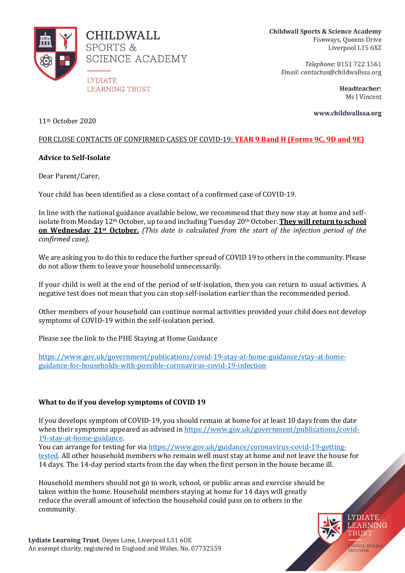

Telephone: 0151 722 1561 Email: contactus@childwallssa.org

> Headteacher: Ms J Vincent

> > **LYDIATE** LEARNING TRUST

**ENGAGE, ENABLE** 

www.childwallssa.org

11th October 2020

# FOR CLOSE CONTACTS OF CONFIRMED CASES OF COVID-19: **YEAR 9 Band H (Forms 9C, 9D and 9E)**

# **Advice to Self-Isolate**

Dear Parent/Carer,

Your child has been identified as a close contact of a confirmed case of COVID-19.

In line with the national guidance available below, we recommend that they now stay at home and selfisolate from Monday 12th October, up to and including Tuesday 20th October. **They will return to school on Wednesday 21st October.** *(This date is calculated from the start of the infection period of the confirmed case).*

We are asking you to do this to reduce the further spread of COVID 19 to others in the community. Please do not allow them to leave your household unnecessarily.

If your child is well at the end of the period of self-isolation, then you can return to usual activities. A negative test does not mean that you can stop self-isolation earlier than the recommended period.

Other members of your household can continue normal activities provided your child does not develop symptoms of COVID-19 within the self-isolation period.

Please see the link to the PHE Staying at Home Guidance

[https://www.gov.uk/government/publications/covid-19-stay-at-home-guidance/stay-at-home](https://www.gov.uk/government/publications/covid-19-stay-at-home-guidance/stay-at-home-guidance-for-households-with-possible-coronavirus-covid-19-infection)[guidance-for-households-with-possible-coronavirus-covid-19-infection](https://www.gov.uk/government/publications/covid-19-stay-at-home-guidance/stay-at-home-guidance-for-households-with-possible-coronavirus-covid-19-infection)

# **What to do if you develop symptoms of COVID 19**

If you develops symptom of COVID-19, you should remain at home for at least 10 days from the date when their symptoms appeared as advised in [https://www.gov.uk/government/publications/covid-](https://www.gov.uk/government/publications/covid-19-stay-at-home-guidance)[19-stay-at-home-guidance.](https://www.gov.uk/government/publications/covid-19-stay-at-home-guidance)

You can arrange for testing for vi[a https://www.gov.uk/guidance/coronavirus-covid-19-getting](https://www.gov.uk/guidance/coronavirus-covid-19-getting-tested)[tested.](https://www.gov.uk/guidance/coronavirus-covid-19-getting-tested) All other household members who remain well must stay at home and not leave the house for 14 days. The 14-day period starts from the day when the first person in the house became ill.

Household members should not go to work, school, or public areas and exercise should be taken within the home. Household members staying at home for 14 days will greatly reduce the overall amount of infection the household could pass on to others in the community.